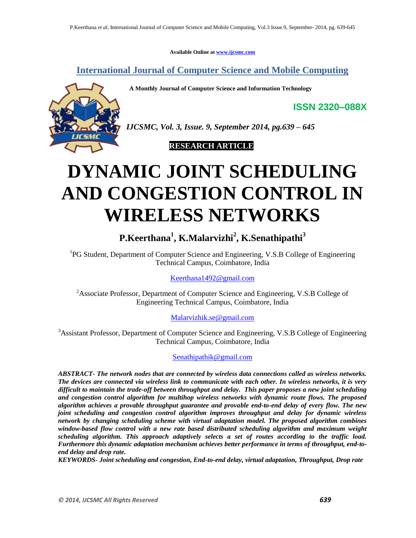**Available Online at www.ijcsmc.com**

# **International Journal of Computer Science and Mobile Computing**

 **A Monthly Journal of Computer Science and Information Technology**



*IJCSMC, Vol. 3, Issue. 9, September 2014, pg.639 – 645*

# **RESEARCH ARTICLE**

# **DYNAMIC JOINT SCHEDULING AND CONGESTION CONTROL IN WIRELESS NETWORKS**

# **P.Keerthana<sup>1</sup> , K.Malarvizhi<sup>2</sup> , K.Senathipathi<sup>3</sup>**

<sup>1</sup>PG Student, Department of Computer Science and Engineering, V.S.B College of Engineering Technical Campus, Coimbatore, India

Keerthana1492@gmail.com

<sup>2</sup>Associate Professor, Department of Computer Science and Engineering, V.S.B College of Engineering Technical Campus, Coimbatore, India

Malarvizhik.se@gmail.com

<sup>3</sup>Assistant Professor, Department of Computer Science and Engineering, V.S.B College of Engineering Technical Campus, Coimbatore, India

Senathipathik@gmail.com

*ABSTRACT- The network nodes that are connected by wireless data connections called as wireless networks. The devices are connected via wireless link to communicate with each other. In wireless networks, it is very difficult to maintain the trade-off between throughput and delay. This paper proposes a new joint scheduling and congestion control algorithm for multihop wireless networks with dynamic route flows. The proposed algorithm achieves a provable throughput guarantee and provable end-to-end delay of every flow. The new joint scheduling and congestion control algorithm improves throughput and delay for dynamic wireless network by changing scheduling scheme with virtual adaptation model. The proposed algorithm combines window-based flow control with a new rate based distributed scheduling algorithm and maximum weight scheduling algorithm. This approach adaptively selects a set of routes according to the traffic load. Furthermore this dynamic adaptation mechanism achieves better performance in terms of throughput, end-toend delay and drop rate.*

*KEYWORDS- Joint scheduling and congestion, End-to-end delay, virtual adaptation, Throughput, Drop rate*

**ISSN 2320–088X**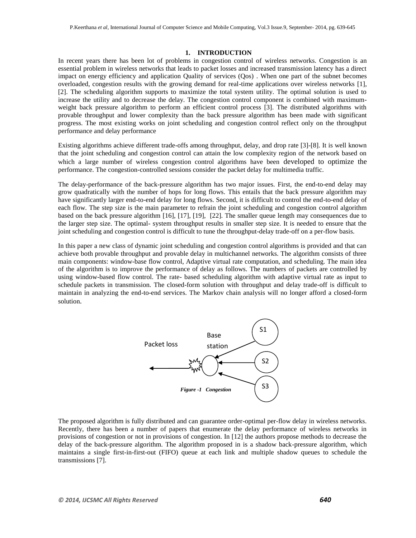# **1. INTRODUCTION**

In recent years there has been lot of problems in congestion control of wireless networks. Congestion is an essential problem in wireless networks that leads to packet losses and increased transmission latency has a direct impact on energy efficiency and application Quality of services (Qos) . When one part of the subnet becomes overloaded, congestion results with the growing demand for real-time applications over wireless networks [1], [2]. The scheduling algorithm supports to maximize the total system utility. The optimal solution is used to increase the utility and to decrease the delay. The congestion control component is combined with maximumweight back pressure algorithm to perform an efficient control process [3]. The distributed algorithms with provable throughput and lower complexity than the back pressure algorithm has been made with significant progress. The most existing works on joint scheduling and congestion control reflect only on the throughput performance and delay performance

Existing algorithms achieve different trade-offs among throughput, delay, and drop rate [3]-[8]. It is well known that the joint scheduling and congestion control can attain the low complexity region of the network based on which a large number of wireless congestion control algorithms have been developed to optimize the performance. The congestion-controlled sessions consider the packet delay for multimedia traffic.

The delay-performance of the back-pressure algorithm has two major issues. First, the end-to-end delay may grow quadratically with the number of hops for long flows. This entails that the back pressure algorithm may have significantly larger end-to-end delay for long flows. Second, it is difficult to control the end-to-end delay of each flow. The step size is the main parameter to refrain the joint scheduling and congestion control algorithm based on the back pressure algorithm [16], [17], [19], [22]. The smaller queue length may consequences due to the larger step size. The optimal- system throughput results in smaller step size. It is needed to ensure that the joint scheduling and congestion control is difficult to tune the throughput-delay trade-off on a per-flow basis.

In this paper a new class of dynamic joint scheduling and congestion control algorithms is provided and that can achieve both provable throughput and provable delay in multichannel networks. The algorithm consists of three main components: window-base flow control, Adaptive virtual rate computation, and scheduling. The main idea of the algorithm is to improve the performance of delay as follows. The numbers of packets are controlled by using window-based flow control. The rate- based scheduling algorithm with adaptive virtual rate as input to schedule packets in transmission. The closed-form solution with throughput and delay trade-off is difficult to maintain in analyzing the end-to-end services. The Markov chain analysis will no longer afford a closed-form solution.



The proposed algorithm is fully distributed and can guarantee order-optimal per-flow delay in wireless networks. Recently, there has been a number of papers that enumerate the delay performance of wireless networks in provisions of congestion or not in provisions of congestion. In [12] the authors propose methods to decrease the delay of the back-pressure algorithm. The algorithm proposed in is a shadow back-pressure algorithm, which maintains a single first-in-first-out (FIFO) queue at each link and multiple shadow queues to schedule the transmissions [7].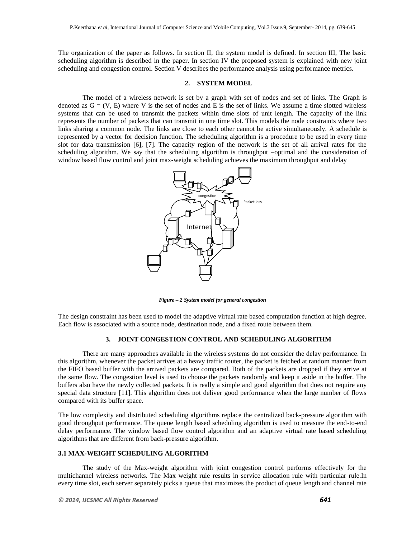The organization of the paper as follows. In section II, the system model is defined. In section III, The basic scheduling algorithm is described in the paper. In section IV the proposed system is explained with new joint scheduling and congestion control. Section V describes the performance analysis using performance metrics.

# **2. SYSTEM MODEL**

The model of a wireless network is set by a graph with set of nodes and set of links. The Graph is denoted as  $G = (V, E)$  where V is the set of nodes and E is the set of links. We assume a time slotted wireless systems that can be used to transmit the packets within time slots of unit length. The capacity of the link represents the number of packets that can transmit in one time slot. This models the node constraints where two links sharing a common node. The links are close to each other cannot be active simultaneously. A schedule is represented by a vector for decision function. The scheduling algorithm is a procedure to be used in every time slot for data transmission [6], [7]. The capacity region of the network is the set of all arrival rates for the scheduling algorithm. We say that the scheduling algorithm is throughput –optimal and the consideration of window based flow control and joint max-weight scheduling achieves the maximum throughput and delay



*Figure – 2 System model for general congestion*

The design constraint has been used to model the adaptive virtual rate based computation function at high degree. Each flow is associated with a source node, destination node, and a fixed route between them.

#### **3. JOINT CONGESTION CONTROL AND SCHEDULING ALGORITHM**

There are many approaches available in the wireless systems do not consider the delay performance. In this algorithm, whenever the packet arrives at a heavy traffic router, the packet is fetched at random manner from the FIFO based buffer with the arrived packets are compared. Both of the packets are dropped if they arrive at the same flow. The congestion level is used to choose the packets randomly and keep it aside in the buffer. The buffers also have the newly collected packets. It is really a simple and good algorithm that does not require any special data structure [11]. This algorithm does not deliver good performance when the large number of flows compared with its buffer space.

The low complexity and distributed scheduling algorithms replace the centralized back-pressure algorithm with good throughput performance. The queue length based scheduling algorithm is used to measure the end-to-end delay performance. The window based flow control algorithm and an adaptive virtual rate based scheduling algorithms that are different from back-pressure algorithm.

## **3.1 MAX-WEIGHT SCHEDULING ALGORITHM**

The study of the Max-weight algorithm with joint congestion control performs effectively for the multichannel wireless networks. The Max weight rule results in service allocation rule with particular rule.In every time slot, each server separately picks a queue that maximizes the product of queue length and channel rate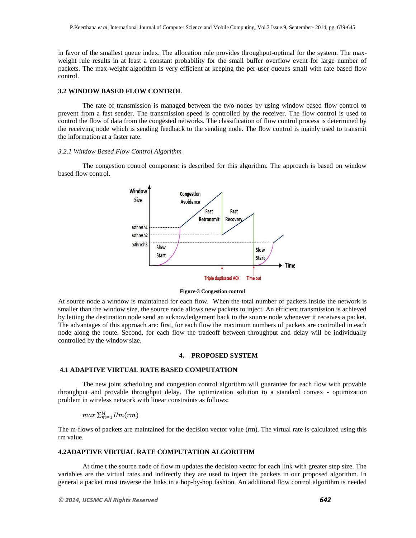in favor of the smallest queue index. The allocation rule provides throughput-optimal for the system. The maxweight rule results in at least a constant probability for the small buffer overflow event for large number of packets. The max-weight algorithm is very efficient at keeping the per-user queues small with rate based flow control.

## **3.2 WINDOW BASED FLOW CONTROL**

The rate of transmission is managed between the two nodes by using window based flow control to prevent from a fast sender. The transmission speed is controlled by the receiver. The flow control is used to control the flow of data from the congested networks. The classification of flow control process is determined by the receiving node which is sending feedback to the sending node. The flow control is mainly used to transmit the information at a faster rate.

#### *3.2.1 Window Based Flow Control Algorithm*

The congestion control component is described for this algorithm. The approach is based on window based flow control.



#### **Figure-3 Congestion control**

At source node a window is maintained for each flow. When the total number of packets inside the network is smaller than the window size, the source node allows new packets to inject. An efficient transmission is achieved by letting the destination node send an acknowledgement back to the source node whenever it receives a packet. The advantages of this approach are: first, for each flow the maximum numbers of packets are controlled in each node along the route. Second, for each flow the tradeoff between throughput and delay will be individually controlled by the window size.

# **4. PROPOSED SYSTEM**

# **4.1 ADAPTIVE VIRTUAL RATE BASED COMPUTATION**

The new joint scheduling and congestion control algorithm will guarantee for each flow with provable throughput and provable throughput delay. The optimization solution to a standard convex - optimization problem in wireless network with linear constraints as follows:

$$
max \sum_{m=1}^{M} Um(rm)
$$

The m-flows of packets are maintained for the decision vector value (rm). The virtual rate is calculated using this rm value.

# **4.2ADAPTIVE VIRTUAL RATE COMPUTATION ALGORITHM**

At time t the source node of flow m updates the decision vector for each link with greater step size. The variables are the virtual rates and indirectly they are used to inject the packets in our proposed algorithm. In general a packet must traverse the links in a hop-by-hop fashion. An additional flow control algorithm is needed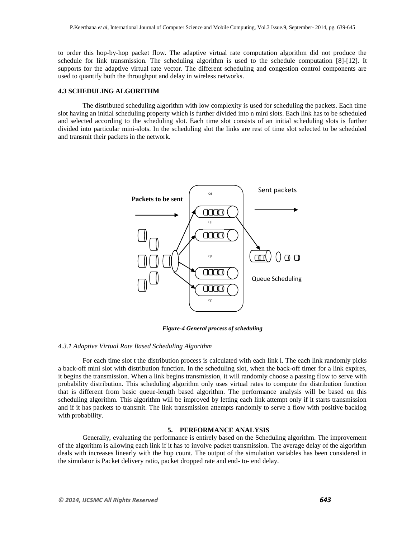to order this hop-by-hop packet flow. The adaptive virtual rate computation algorithm did not produce the schedule for link transmission. The scheduling algorithm is used to the schedule computation [8]-[12]. It supports for the adaptive virtual rate vector. The different scheduling and congestion control components are used to quantify both the throughput and delay in wireless networks.

#### **4.3 SCHEDULING ALGORITHM**

The distributed scheduling algorithm with low complexity is used for scheduling the packets. Each time slot having an initial scheduling property which is further divided into n mini slots. Each link has to be scheduled and selected according to the scheduling slot. Each time slot consists of an initial scheduling slots is further divided into particular mini-slots. In the scheduling slot the links are rest of time slot selected to be scheduled and transmit their packets in the network.



*Figure-4 General process of scheduling*

#### *4.3.1 Adaptive Virtual Rate Based Scheduling Algorithm*

For each time slot t the distribution process is calculated with each link l. The each link randomly picks a back-off mini slot with distribution function. In the scheduling slot, when the back-off timer for a link expires, it begins the transmission. When a link begins transmission, it will randomly choose a passing flow to serve with probability distribution. This scheduling algorithm only uses virtual rates to compute the distribution function that is different from basic queue-length based algorithm. The performance analysis will be based on this scheduling algorithm. This algorithm will be improved by letting each link attempt only if it starts transmission and if it has packets to transmit. The link transmission attempts randomly to serve a flow with positive backlog with probability.

# **5. PERFORMANCE ANALYSIS**

Generally, evaluating the performance is entirely based on the Scheduling algorithm. The improvement of the algorithm is allowing each link if it has to involve packet transmission. The average delay of the algorithm deals with increases linearly with the hop count. The output of the simulation variables has been considered in the simulator is Packet delivery ratio, packet dropped rate and end- to- end delay.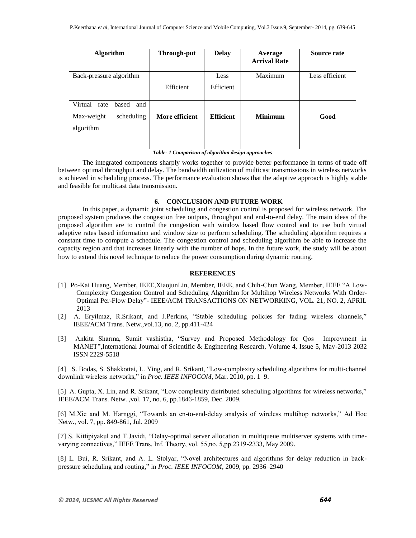| <b>Algorithm</b>                                                         | Through-put    | <b>Delay</b>      | Average<br><b>Arrival Rate</b> | Source rate    |
|--------------------------------------------------------------------------|----------------|-------------------|--------------------------------|----------------|
| Back-pressure algorithm                                                  | Efficient      | Less<br>Efficient | Maximum                        | Less efficient |
| Virtual<br>based<br>and<br>rate<br>scheduling<br>Max-weight<br>algorithm | More efficient | <b>Efficient</b>  | <b>Minimum</b>                 | Good           |

*Table- 1 Comparison of algorithm design approaches*

The integrated components sharply works together to provide better performance in terms of trade off between optimal throughput and delay. The bandwidth utilization of multicast transmissions in wireless networks is achieved in scheduling process. The performance evaluation shows that the adaptive approach is highly stable and feasible for multicast data transmission.

# **6. CONCLUSION AND FUTURE WORK**

In this paper, a dynamic joint scheduling and congestion control is proposed for wireless network. The proposed system produces the congestion free outputs, throughput and end-to-end delay. The main ideas of the proposed algorithm are to control the congestion with window based flow control and to use both virtual adaptive rates based information and window size to perform scheduling. The scheduling algorithm requires a constant time to compute a schedule. The congestion control and scheduling algorithm be able to increase the capacity region and that increases linearly with the number of hops. In the future work, the study will be about how to extend this novel technique to reduce the power consumption during dynamic routing.

# **REFERENCES**

- [1] Po-Kai Huang, Member, IEEE,XiaojunLin, Member, IEEE, and Chih-Chun Wang, Member, IEEE "A Low-Complexity Congestion Control and Scheduling Algorithm for Multihop Wireless Networks With Order-Optimal Per-Flow Delay"- IEEE/ACM TRANSACTIONS ON NETWORKING, VOL. 21, NO. 2, APRIL 2013
- [2] A. Eryilmaz, R.Srikant, and J.Perkins, "Stable scheduling policies for fading wireless channels," IEEE/ACM Trans. Netw.,vol.13, no. 2, pp.411-424
- [3] Ankita Sharma, Sumit vashistha, "Survey and Proposed Methodology for Qos Improvment in MANET",International Journal of Scientific & Engineering Research, Volume 4, Issue 5, May-2013 2032 ISSN 2229-5518

[4] S. Bodas, S. Shakkottai, L. Ying, and R. Srikant, "Low-complexity scheduling algorithms for multi-channel downlink wireless networks," in *Proc. IEEE INFOCOM*, Mar. 2010, pp. 1–9.

[5] A. Gupta, X. Lin, and R. Srikant, "Low complexity distributed scheduling algorithms for wireless networks," IEEE/ACM Trans. Netw. ,vol. 17, no. 6, pp.1846-1859, Dec. 2009.

[6] M.Xie and M. Harnggi, "Towards an en-to-end-delay analysis of wireless multihop networks," Ad Hoc Netw., vol. 7, pp. 849-861, Jul. 2009

[7] S. Kittipiyakul and T.Javidi, "Delay-optimal server allocation in multiqueue multiserver systems with timevarying connectives," IEEE Trans. Inf. Theory, vol. 55,no. 5,pp.2319-2333, May 2009.

[8] L. Bui, R. Srikant, and A. L. Stolyar, "Novel architectures and algorithms for delay reduction in backpressure scheduling and routing," in *Proc. IEEE INFOCOM*, 2009, pp. 2936–2940